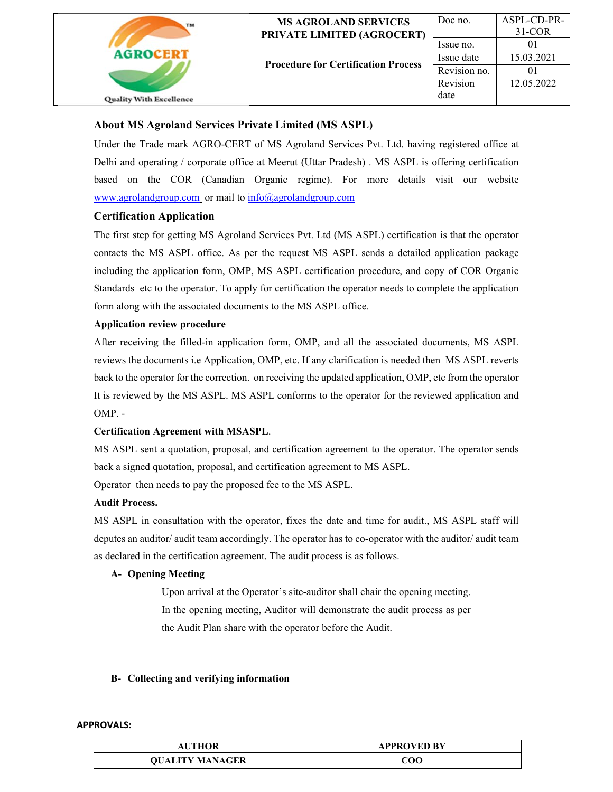

# **About MS Agroland Services Private Limited (MS ASPL)**

Under the Trade mark AGRO-CERT of MS Agroland Services Pvt. Ltd. having registered office at Delhi and operating / corporate office at Meerut (Uttar Pradesh) . MS ASPL is offering certification based on the COR (Canadian Organic regime). For more details visit our website www.agrolandgroup.com or mail to info@agrolandgroup.com

# **Certification Application**

The first step for getting MS Agroland Services Pvt. Ltd (MS ASPL) certification is that the operator contacts the MS ASPL office. As per the request MS ASPL sends a detailed application package including the application form, OMP, MS ASPL certification procedure, and copy of COR Organic Standards etc to the operator. To apply for certification the operator needs to complete the application form along with the associated documents to the MS ASPL office.

## **Application review procedure**

After receiving the filled-in application form, OMP, and all the associated documents, MS ASPL reviews the documents i.e Application, OMP, etc. If any clarification is needed then MS ASPL reverts back to the operator for the correction. on receiving the updated application, OMP, etc from the operator It is reviewed by the MS ASPL. MS ASPL conforms to the operator for the reviewed application and OMP. -

# **Certification Agreement with MSASPL**.

MS ASPL sent a quotation, proposal, and certification agreement to the operator. The operator sends back a signed quotation, proposal, and certification agreement to MS ASPL.

Operator then needs to pay the proposed fee to the MS ASPL.

#### **Audit Process.**

MS ASPL in consultation with the operator, fixes the date and time for audit., MS ASPL staff will deputes an auditor/ audit team accordingly. The operator has to co-operator with the auditor/ audit team as declared in the certification agreement. The audit process is as follows.

#### **A- Opening Meeting**

Upon arrival at the Operator's site-auditor shall chair the opening meeting. In the opening meeting, Auditor will demonstrate the audit process as per the Audit Plan share with the operator before the Audit.

#### **B- Collecting and verifying information**

| <b>AUTHOR</b>          | <b>APPROVED BY</b> |
|------------------------|--------------------|
| <b>OUALITY MANAGER</b> | COO                |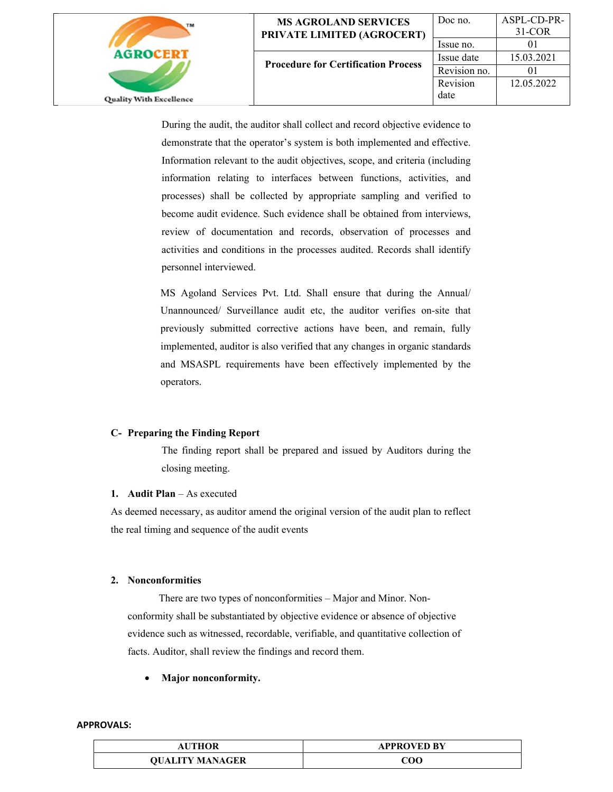

| <b>MS AGROLAND SERVICES</b>                | Doc no.      | ASPL-CD-PR |
|--------------------------------------------|--------------|------------|
| <b>PRIVATE LIMITED (AGROCERT)</b>          |              | $31-COR$   |
|                                            | Issue no.    |            |
| <b>Procedure for Certification Process</b> | Issue date   | 15.03.2021 |
|                                            | Revision no. |            |
|                                            | Revision     | 12.05.2022 |
|                                            | date         |            |
|                                            |              |            |

ASPL-CD-PR-31-COR  $01$ 

During the audit, the auditor shall collect and record objective evidence to demonstrate that the operator's system is both implemented and effective. Information relevant to the audit objectives, scope, and criteria (including information relating to interfaces between functions, activities, and processes) shall be collected by appropriate sampling and verified to become audit evidence. Such evidence shall be obtained from interviews, review of documentation and records, observation of processes and activities and conditions in the processes audited. Records shall identify personnel interviewed.

MS Agoland Services Pvt. Ltd. Shall ensure that during the Annual/ Unannounced/ Surveillance audit etc, the auditor verifies on-site that previously submitted corrective actions have been, and remain, fully implemented, auditor is also verified that any changes in organic standards and MSASPL requirements have been effectively implemented by the operators.

#### **C- Preparing the Finding Report**

The finding report shall be prepared and issued by Auditors during the closing meeting.

#### **1. Audit Plan** – As executed

As deemed necessary, as auditor amend the original version of the audit plan to reflect the real timing and sequence of the audit events

#### **2. Nonconformities**

 There are two types of nonconformities – Major and Minor. Nonconformity shall be substantiated by objective evidence or absence of objective evidence such as witnessed, recordable, verifiable, and quantitative collection of facts. Auditor, shall review the findings and record them.

#### **Major nonconformity.**

| <b>AUTHOR</b>          | <b>APPROVED BY</b> |
|------------------------|--------------------|
| <b>OUALITY MANAGER</b> | 700                |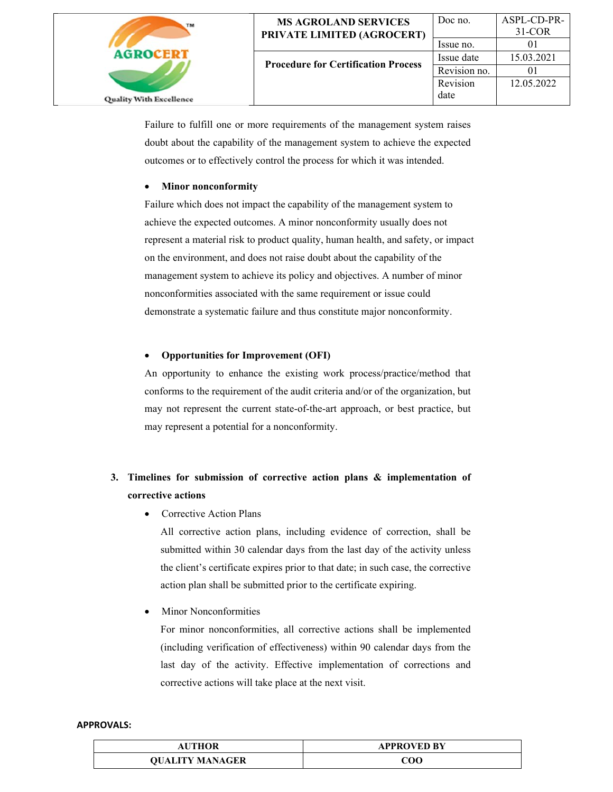

Failure to fulfill one or more requirements of the management system raises doubt about the capability of the management system to achieve the expected outcomes or to effectively control the process for which it was intended.

## **Minor nonconformity**

Failure which does not impact the capability of the management system to achieve the expected outcomes. A minor nonconformity usually does not represent a material risk to product quality, human health, and safety, or impact on the environment, and does not raise doubt about the capability of the management system to achieve its policy and objectives. A number of minor nonconformities associated with the same requirement or issue could demonstrate a systematic failure and thus constitute major nonconformity.

## **Opportunities for Improvement (OFI)**

An opportunity to enhance the existing work process/practice/method that conforms to the requirement of the audit criteria and/or of the organization, but may not represent the current state-of-the-art approach, or best practice, but may represent a potential for a nonconformity.

# **3. Timelines for submission of corrective action plans & implementation of corrective actions**

• Corrective Action Plans

All corrective action plans, including evidence of correction, shall be submitted within 30 calendar days from the last day of the activity unless the client's certificate expires prior to that date; in such case, the corrective action plan shall be submitted prior to the certificate expiring.

Minor Nonconformities

For minor nonconformities, all corrective actions shall be implemented (including verification of effectiveness) within 90 calendar days from the last day of the activity. Effective implementation of corrections and corrective actions will take place at the next visit.

| <b>AUTHOR</b>          | <b>APPROVED BY</b> |
|------------------------|--------------------|
| <b>OUALITY MANAGER</b> | 200                |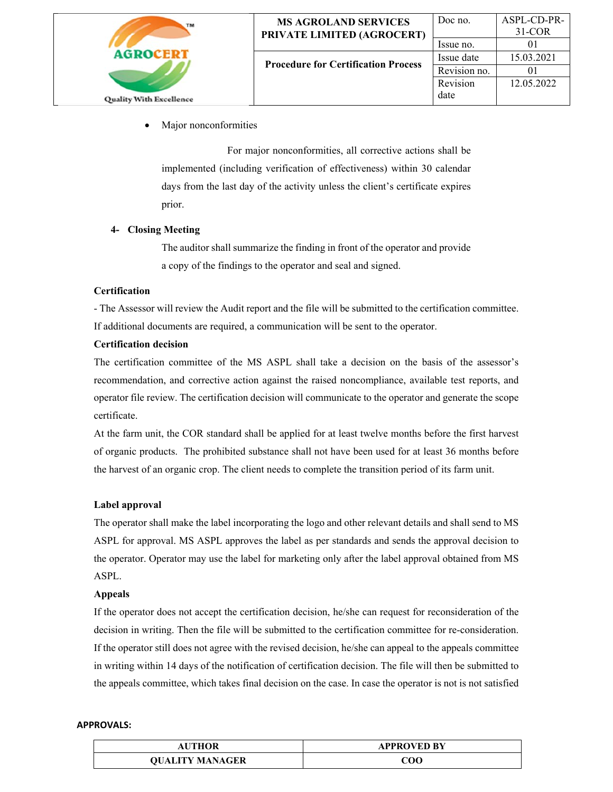

Major nonconformities

 For major nonconformities, all corrective actions shall be implemented (including verification of effectiveness) within 30 calendar days from the last day of the activity unless the client's certificate expires prior.

# **4- Closing Meeting**

The auditor shall summarize the finding in front of the operator and provide a copy of the findings to the operator and seal and signed.

# **Certification**

- The Assessor will review the Audit report and the file will be submitted to the certification committee. If additional documents are required, a communication will be sent to the operator.

## **Certification decision**

The certification committee of the MS ASPL shall take a decision on the basis of the assessor's recommendation, and corrective action against the raised noncompliance, available test reports, and operator file review. The certification decision will communicate to the operator and generate the scope certificate.

At the farm unit, the COR standard shall be applied for at least twelve months before the first harvest of organic products. The prohibited substance shall not have been used for at least 36 months before the harvest of an organic crop. The client needs to complete the transition period of its farm unit.

# **Label approval**

The operator shall make the label incorporating the logo and other relevant details and shall send to MS ASPL for approval. MS ASPL approves the label as per standards and sends the approval decision to the operator. Operator may use the label for marketing only after the label approval obtained from MS ASPL.

#### **Appeals**

If the operator does not accept the certification decision, he/she can request for reconsideration of the decision in writing. Then the file will be submitted to the certification committee for re-consideration. If the operator still does not agree with the revised decision, he/she can appeal to the appeals committee in writing within 14 days of the notification of certification decision. The file will then be submitted to the appeals committee, which takes final decision on the case. In case the operator is not is not satisfied

| <b>AUTHOR</b>          | <b>APPROVED BY</b> |
|------------------------|--------------------|
| <b>OUALITY MANAGER</b> | 200                |